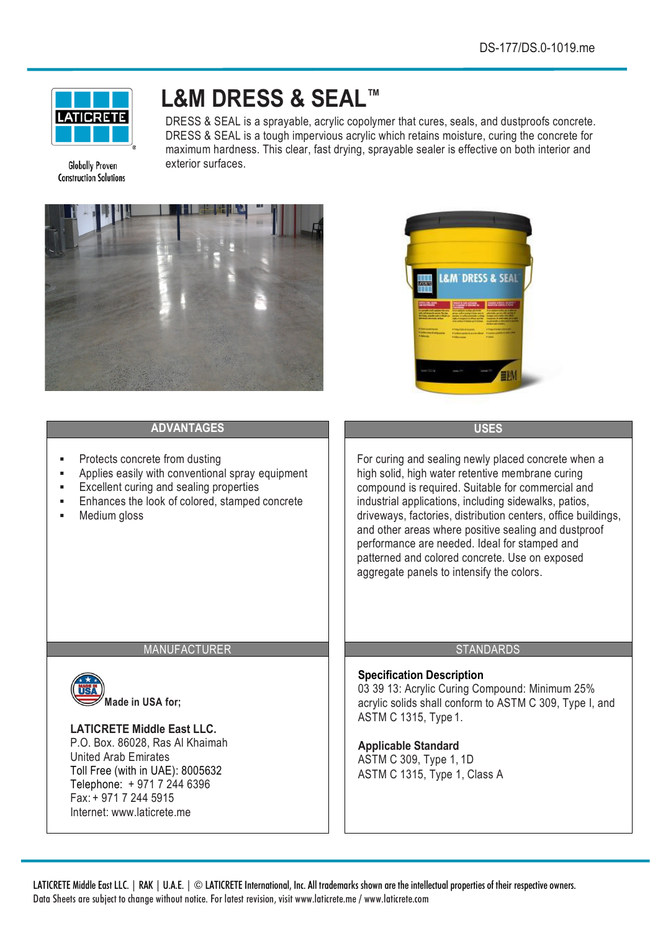

**Globally Proven Construction Solutions** 

# **L&M DRESS & SEAL™**

DRESS & SEAL is a sprayable, acrylic copolymer that cures, seals, and dustproofs concrete. DRESS & SEAL is a tough impervious acrylic which retains moisture, curing the concrete for maximum hardness. This clear, fast drying, sprayable sealer is effective on both interior and exterior surfaces.





# **ADVANTAGES USES**

- § Protects concrete from dusting
- § Applies easily with conventional spray equipment
- Excellent curing and sealing properties
- Enhances the look of colored, stamped concrete
- § Medium gloss

For curing and sealing newly placed concrete when a high solid, high water retentive membrane curing compound is required. Suitable for commercial and industrial applications, including sidewalks, patios, driveways, factories, distribution centers, office buildings, and other areas where positive sealing and dustproof performance are needed. Ideal for stamped and patterned and colored concrete. Use on exposed aggregate panels to intensify the colors.

#### MANUFACTURER STANDARDS



**Made in USA for;** 

# **LATICRETE Middle East LLC.**

P.O. Box. 86028, Ras Al Khaimah United Arab Emirates Toll Free (with in UAE): 8005632 Telephone: + 971 7 244 6396 Fax: + 971 7 244 5915 Internet: www.laticrete.me

# **Specification Description**

03 39 13: Acrylic Curing Compound: Minimum 25% acrylic solids shall conform to ASTM C 309, Type I, and ASTM C 1315, Type 1.

# **Applicable Standard**

ASTM C 309, Type 1, 1D ASTM C 1315, Type 1, Class A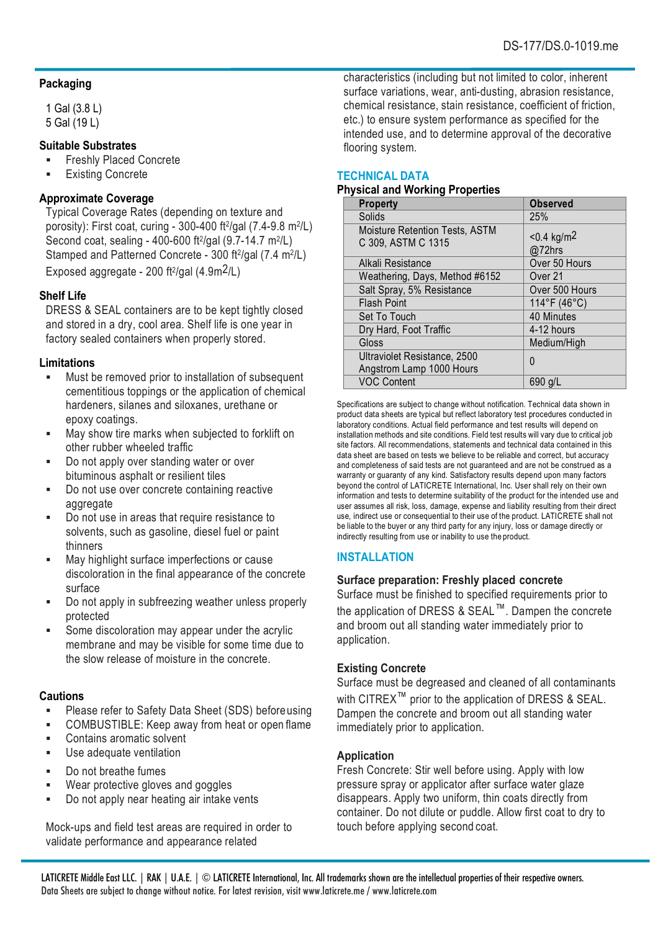#### **Packaging**

1 Gal (3.8 L) 5 Gal (19 L)

#### **Suitable Substrates**

- § Freshly Placed Concrete
- Existing Concrete

#### **Approximate Coverage**

Typical Coverage Rates (depending on texture and porosity): First coat, curing - 300-400 ft2/gal (7.4-9.8 m2/L) Second coat, sealing - 400-600 ft2/gal (9.7-14.7 m2/L) Stamped and Patterned Concrete - 300 ft<sup>2</sup>/gal (7.4 m<sup>2</sup>/L)

Exposed aggregate - 200 ft $\frac{2}{\text{gal}}$  (4.9m $\frac{2}{\text{L}}$ )

#### **Shelf Life**

DRESS & SEAL containers are to be kept tightly closed and stored in a dry, cool area. Shelf life is one year in factory sealed containers when properly stored.

#### **Limitations**

- Must be removed prior to installation of subsequent cementitious toppings or the application of chemical hardeners, silanes and siloxanes, urethane or epoxy coatings.
- May show tire marks when subjected to forklift on other rubber wheeled traffic
- Do not apply over standing water or over bituminous asphalt or resilient tiles
- § Do not use over concrete containing reactive aggregate
- Do not use in areas that require resistance to solvents, such as gasoline, diesel fuel or paint thinners
- May highlight surface imperfections or cause discoloration in the final appearance of the concrete surface
- Do not apply in subfreezing weather unless properly protected
- Some discoloration may appear under the acrylic membrane and may be visible for some time due to the slow release of moisture in the concrete.

#### **Cautions**

- Please refer to Safety Data Sheet (SDS) before using
- COMBUSTIBLE: Keep away from heat or open flame
- § Contains aromatic solvent
- **■** Use adequate ventilation
- § Do not breathe fumes
- Wear protective gloves and goggles
- Do not apply near heating air intake vents

Mock-ups and field test areas are required in order to validate performance and appearance related

characteristics (including but not limited to color, inherent surface variations, wear, anti-dusting, abrasion resistance, chemical resistance, stain resistance, coefficient of friction, etc.) to ensure system performance as specified for the intended use, and to determine approval of the decorative flooring system.

### **TECHNICAL DATA**

#### **Physical and Working Properties**

| <b>Property</b>                                          | <b>Observed</b>                     |
|----------------------------------------------------------|-------------------------------------|
| Solids                                                   | 25%                                 |
| Moisture Retention Tests, ASTM<br>C 309, ASTM C 1315     | $< 0.4$ kg/m <sup>2</sup><br>@72hrs |
| Alkali Resistance                                        | Over 50 Hours                       |
| Weathering, Days, Method #6152                           | Over 21                             |
| Salt Spray, 5% Resistance                                | Over 500 Hours                      |
| <b>Flash Point</b>                                       | 114°F (46°C)                        |
| Set To Touch                                             | 40 Minutes                          |
| Dry Hard, Foot Traffic                                   | 4-12 hours                          |
| Gloss                                                    | Medium/High                         |
| Ultraviolet Resistance, 2500<br>Angstrom Lamp 1000 Hours | 0                                   |
| <b>VOC Content</b>                                       | 690 g/L                             |

Specifications are subject to change without notification. Technical data shown in product data sheets are typical but reflect laboratory test procedures conducted in laboratory conditions. Actual field performance and test results will depend on installation methods and site conditions. Field test results will vary due to critical job site factors. All recommendations, statements and technical data contained in this data sheet are based on tests we believe to be reliable and correct, but accuracy and completeness of said tests are not guaranteed and are not be construed as a warranty or guaranty of any kind. Satisfactory results depend upon many factors beyond the control of LATICRETE International, Inc. User shall rely on their own information and tests to determine suitability of the product for the intended use and user assumes all risk, loss, damage, expense and liability resulting from their direct use, indirect use or consequential to their use of the product. LATICRETE shall not be liable to the buyer or any third party for any injury, loss or damage directly or indirectly resulting from use or inability to use the product.

#### **INSTALLATION**

#### **Surface preparation: Freshly placed concrete**

Surface must be finished to specified requirements prior to the application of DRESS & SEAL™. Dampen the concrete and broom out all standing water immediately prior to application.

#### **Existing Concrete**

Surface must be degreased and cleaned of all contaminants with CITREX<sup>™</sup> prior to the application of DRESS & SEAL. Dampen the concrete and broom out all standing water immediately prior to application.

#### **Application**

Fresh Concrete: Stir well before using. Apply with low pressure spray or applicator after surface water glaze disappears. Apply two uniform, thin coats directly from container. Do not dilute or puddle. Allow first coat to dry to touch before applying second coat.